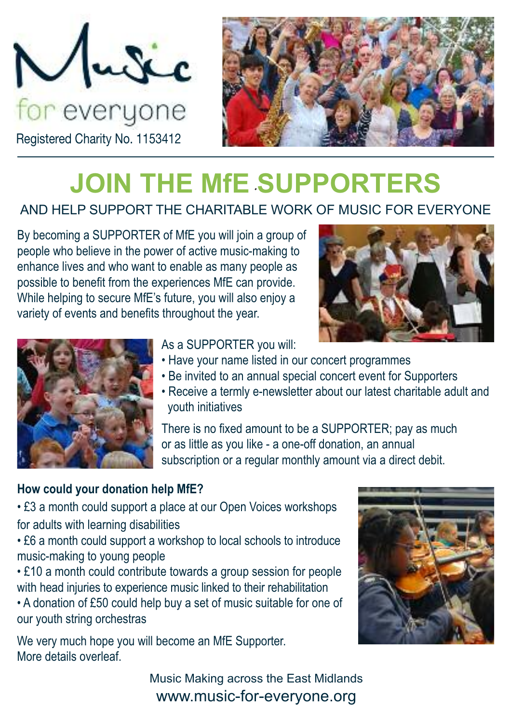



# **JOIN THE MfE SUPPORTERS**

### AND HELP SUPPORT THE CHARITABLE WORK OF MUSIC FOR EVERYONE

By becoming a SUPPORTER of MfE you will join a group of people who believe in the power of active music-making to enhance lives and who want to enable as many people as possible to benefit from the experiences MfE can provide. While helping to secure MfE's future, you will also enjoy a variety of events and benefits throughout the year.





As a SUPPORTER you will:

- Have your name listed in our concert programmes
- Be invited to an annual special concert event for Supporters
- Receive a termly e-newsletter about our latest charitable adult and youth initiatives

There is no fixed amount to be a SUPPORTER; pay as much or as little as you like - a one-off donation, an annual subscription or a regular monthly amount via a direct debit.

### **How could your donation help MfE?**

• £3 a month could support a place at our Open Voices workshops for adults with learning disabilities

• £6 a month could support a workshop to local schools to introduce music-making to young people

• £10 a month could contribute towards a group session for people with head injuries to experience music linked to their rehabilitation

• A donation of £50 could help buy a set of music suitable for one of our youth string orchestras

We very much hope you will become an MfE Supporter. More details overleaf.



Music Making across the East Midlands www.music-for-everyone.org